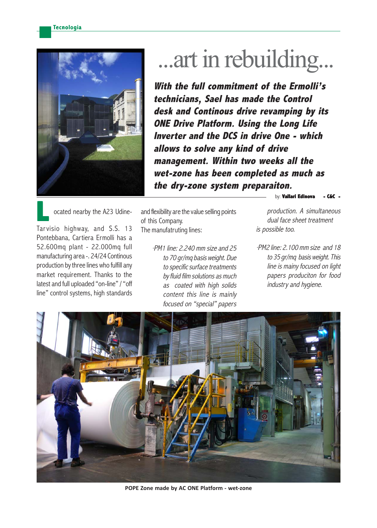

## ...art in rebuilding...

**With the full commitment of the Ermolli's technicians, Sael has made the Control desk and Continous drive revamping by its ONE Drive Platform. Using the Long Life Inverter and the DCS in drive One - which allows to solve any kind of drive management. Within two weeks all the wet-zone has been completed as much as the dry-zone system preparaiton.**

 ocated nearby the A23 Udine-Tar visio highway, and S.S. 13 Pontebbana, Cartiera Ermolli has a 52.600mq plant - 22.000mq full manufacturing area -. 24/24 Continous production by three lines who fulfill any market requirement. Thanks to the latest and full uploaded "on-line" / "off line" control systems, high standards **L**<br>Taun

and flexibility are the value selling points of this Company. The manufatruting lines:

> ·PM1 line: 2.240 mm size and 25 to 70 gr/mq basis weight. Due to specific surface treatments by fluid film solutions as much as coated with high solids content this line is mainly focused on "special" papers

by: **Vallari Edinova** 

production. A simultaneous dual face sheet treatment is possible too.

·PM2 line: 2.100 mm size and 18 to 35 gr/mq basis weight. This line is mainy focused on light papers produciton for food industry and hygiene.



**POPE Zone made by AC ONE Platform - wet-zone**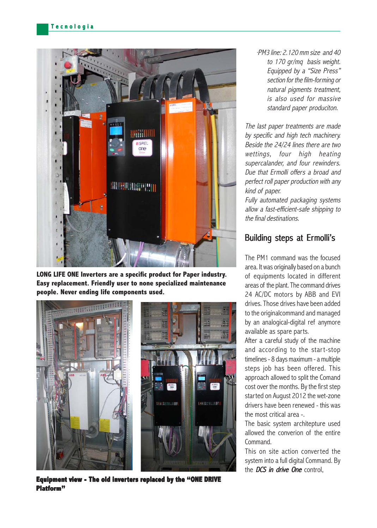

**LONG LIFE ONE Inverters are a specific product for Paper industry. Easy replacement. Friendly user to none specialized maintenance people. Never ending life components used.**



**Equipment view - The old inverters replaced by the "ONE DRIVE Platform"**

·PM3 line: 2.120 mm size and 40 to 170 gr/mq basis weight. Equipped by a "Size Press" section for the film-forming or natural pigments treatment. is also used for massive standard paper produciton.

The last paper treatments are made by specific and high tech machinery. Beside the 24/24 lines there are two wettings, four high heating supercalander, and four rewinders. Due that Ermolli offers a broad and perfect roll paper production with any kind of paper.

Fully automated packaging systems allow a fast-efficient-safe shipping to the final destinations.

## Building steps at Ermolli's

The PM1 command was the focused area. It was originally based on a bunch of equipments located in different areas of the plant. The command drives 24 AC/DC motors by ABB and EVI drives. Those drives have been added to the originalcommand and managed by an analogical-digital ref anymore available as spare parts.

After a careful study of the machine and according to the start-stop timelines - 8 days maximum - a multiple steps job has been offered. This approach allowed to split the Comand cost over the months. By the first step started on August 2012 the wet-zone drivers have been renewed - this was the most critical area -.

The basic system architepture used allowed the converion of the entire Command.

This on site action converted the system into a full digital Command. By the  $DCS$  in drive One control.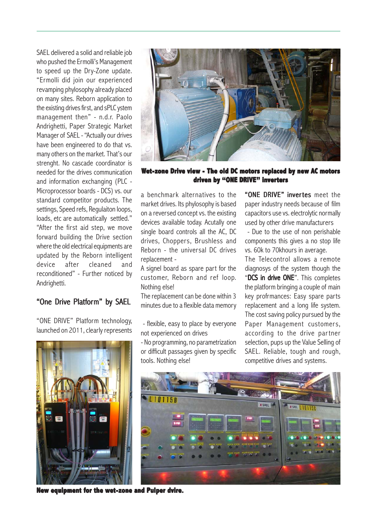SAEL delivered a solid and reliable job who pushed the Ermolli's Management to speed up the Dry-Zone update. "Ermolli did join our experienced revamping phylosophy already placed on many sites. Reborn application to the existing drives first, and sPLC ystem management then" - n.d.r. Paolo Andrighetti, Paper Strategic Market Manager of SAEL - "Actually our drives have been engineered to do that vs. many others on the market. That's our strenght. No cascade coordinator is needed for the drives communication and information exchanging (PLC - Microprocessor boards - DCS) vs. our standard competitor products. The settings, Speed refs, Regulaiton loops, loads, etc are automatically settled." "After the first aid step, we move forward building the Drive section where the old electrical equipments are updated by the Reborn intelligent device after cleaned and reconditioned" - Further noticed by Andrighetti.

## "One Drive Platform" by SAEL

"ONE DRIVE" Platform technology, launched on 2011, clearly represents



**New equipment for the wet-zone and Pulper dvire.** 



**Wet-zone Drive view - The old DC motors replaced by new AC motors driven by "ONE DRIVE" inverters**

a benchmark alternatives to the market drives. Its phylosophy is based on a reversed concept vs. the existing devices available today. Acutally one single board controls all the AC, DC drives, Choppers, Brushless and Reborn - the universal DC drives replacement -

A signel board as spare part for the customer, Reborn and ref loop. Nothing else!

The replacement can be done within 3 minutes due to a flexible data memory

 - flexible, easy to place by everyone not experienced on drives

- No programming, no parametrization or difficult passages given by specific tools. Nothing else!

"ONE DRIVE" invertes meet the paper industry needs because of film capacitors use vs. electrolytic normally used by other drive manufacturers

 - Due to the use of non perishable components this gives a no stop life vs. 60k to 70khours in average.

The Telecontrol allows a remote diagnosys of the system though the "DCS in drive ONE". This completes the platform bringing a couple of main key profrmances: Easy spare parts replacement and a long life system. The cost saving policy pursued by the Paper Management customers, according to the drive partner selection, pups up the Value Selling of SAEL. Reliable, tough and rough, competitive drives and systems.